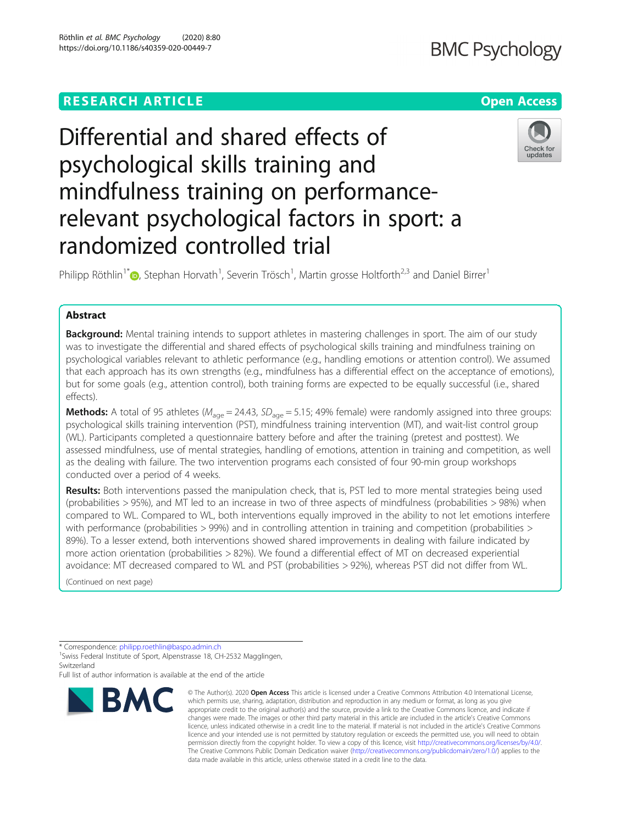## **RESEARCH ARTICLE Example 2018 12:30 The Contract of Contract Contract Open Access**

# Differential and shared effects of psychological skills training and mindfulness training on performancerelevant psychological factors in sport: a randomized controlled trial



Philipp Röthlin<sup>1\*</sup> (D), Stephan Horvath<sup>1</sup>, Severin Trösch<sup>1</sup>, Martin grosse Holtforth<sup>2,3</sup> and Daniel Birrer<sup>1</sup>

### Abstract

**Background:** Mental training intends to support athletes in mastering challenges in sport. The aim of our study was to investigate the differential and shared effects of psychological skills training and mindfulness training on psychological variables relevant to athletic performance (e.g., handling emotions or attention control). We assumed that each approach has its own strengths (e.g., mindfulness has a differential effect on the acceptance of emotions), but for some goals (e.g., attention control), both training forms are expected to be equally successful (i.e., shared effects).

**Methods:** A total of 95 athletes ( $M_{\text{age}} = 24.43$ ,  $SD_{\text{age}} = 5.15$ ; 49% female) were randomly assigned into three groups: psychological skills training intervention (PST), mindfulness training intervention (MT), and wait-list control group (WL). Participants completed a questionnaire battery before and after the training (pretest and posttest). We assessed mindfulness, use of mental strategies, handling of emotions, attention in training and competition, as well as the dealing with failure. The two intervention programs each consisted of four 90-min group workshops conducted over a period of 4 weeks.

Results: Both interventions passed the manipulation check, that is, PST led to more mental strategies being used (probabilities > 95%), and MT led to an increase in two of three aspects of mindfulness (probabilities > 98%) when compared to WL. Compared to WL, both interventions equally improved in the ability to not let emotions interfere with performance (probabilities > 99%) and in controlling attention in training and competition (probabilities > 89%). To a lesser extend, both interventions showed shared improvements in dealing with failure indicated by more action orientation (probabilities > 82%). We found a differential effect of MT on decreased experiential avoidance: MT decreased compared to WL and PST (probabilities > 92%), whereas PST did not differ from WL.

(Continued on next page)

<sup>1</sup> Swiss Federal Institute of Sport, Alpenstrasse 18, CH-2532 Magglingen, Switzerland

Full list of author information is available at the end of the article



<sup>©</sup> The Author(s), 2020 **Open Access** This article is licensed under a Creative Commons Attribution 4.0 International License, which permits use, sharing, adaptation, distribution and reproduction in any medium or format, as long as you give appropriate credit to the original author(s) and the source, provide a link to the Creative Commons licence, and indicate if changes were made. The images or other third party material in this article are included in the article's Creative Commons licence, unless indicated otherwise in a credit line to the material. If material is not included in the article's Creative Commons licence and your intended use is not permitted by statutory regulation or exceeds the permitted use, you will need to obtain permission directly from the copyright holder. To view a copy of this licence, visit [http://creativecommons.org/licenses/by/4.0/.](http://creativecommons.org/licenses/by/4.0/) The Creative Commons Public Domain Dedication waiver [\(http://creativecommons.org/publicdomain/zero/1.0/](http://creativecommons.org/publicdomain/zero/1.0/)) applies to the data made available in this article, unless otherwise stated in a credit line to the data.

<sup>\*</sup> Correspondence: [philipp.roethlin@baspo.admin.ch](mailto:philipp.roethlin@baspo.admin.ch) <sup>1</sup>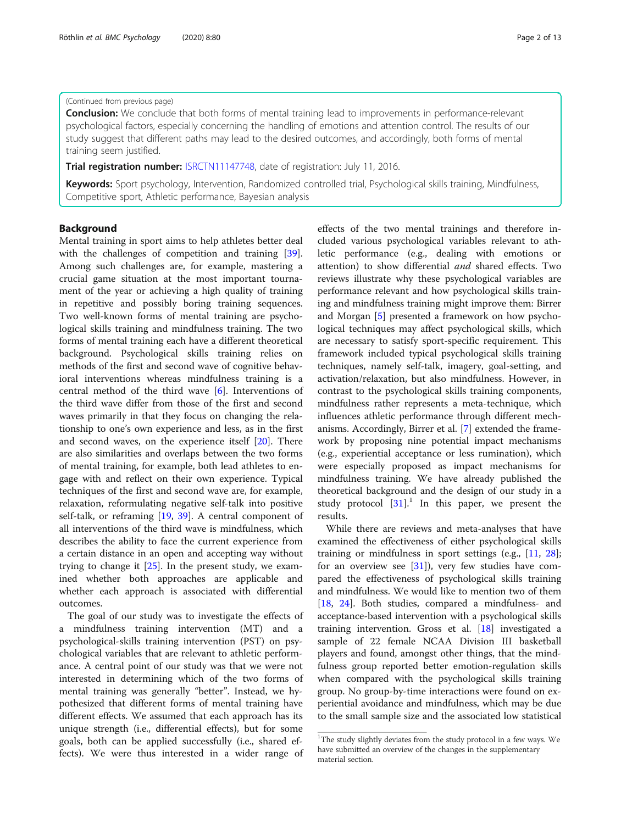#### (Continued from previous page)

**Conclusion:** We conclude that both forms of mental training lead to improvements in performance-relevant psychological factors, especially concerning the handling of emotions and attention control. The results of our study suggest that different paths may lead to the desired outcomes, and accordingly, both forms of mental training seem justified.

**Trial registration number: [ISRCTN11147748](https://doi.org/10.1186/ISRCTN11147748), date of registration: July 11, 2016.** 

Keywords: Sport psychology, Intervention, Randomized controlled trial, Psychological skills training, Mindfulness, Competitive sport, Athletic performance, Bayesian analysis

#### Background

Mental training in sport aims to help athletes better deal with the challenges of competition and training [\[39](#page-12-0)]. Among such challenges are, for example, mastering a crucial game situation at the most important tournament of the year or achieving a high quality of training in repetitive and possibly boring training sequences. Two well-known forms of mental training are psychological skills training and mindfulness training. The two forms of mental training each have a different theoretical background. Psychological skills training relies on methods of the first and second wave of cognitive behavioral interventions whereas mindfulness training is a central method of the third wave [[6\]](#page-11-0). Interventions of the third wave differ from those of the first and second waves primarily in that they focus on changing the relationship to one's own experience and less, as in the first and second waves, on the experience itself [[20](#page-11-0)]. There are also similarities and overlaps between the two forms of mental training, for example, both lead athletes to engage with and reflect on their own experience. Typical techniques of the first and second wave are, for example, relaxation, reformulating negative self-talk into positive self-talk, or reframing [[19](#page-11-0), [39](#page-12-0)]. A central component of all interventions of the third wave is mindfulness, which describes the ability to face the current experience from a certain distance in an open and accepting way without trying to change it  $[25]$ . In the present study, we examined whether both approaches are applicable and whether each approach is associated with differential outcomes.

The goal of our study was to investigate the effects of a mindfulness training intervention (MT) and a psychological-skills training intervention (PST) on psychological variables that are relevant to athletic performance. A central point of our study was that we were not interested in determining which of the two forms of mental training was generally "better". Instead, we hypothesized that different forms of mental training have different effects. We assumed that each approach has its unique strength (i.e., differential effects), but for some goals, both can be applied successfully (i.e., shared effects). We were thus interested in a wider range of effects of the two mental trainings and therefore included various psychological variables relevant to athletic performance (e.g., dealing with emotions or attention) to show differential and shared effects. Two reviews illustrate why these psychological variables are performance relevant and how psychological skills training and mindfulness training might improve them: Birrer and Morgan [\[5](#page-11-0)] presented a framework on how psychological techniques may affect psychological skills, which are necessary to satisfy sport-specific requirement. This framework included typical psychological skills training techniques, namely self-talk, imagery, goal-setting, and activation/relaxation, but also mindfulness. However, in contrast to the psychological skills training components, mindfulness rather represents a meta-technique, which influences athletic performance through different mechanisms. Accordingly, Birrer et al. [[7\]](#page-11-0) extended the framework by proposing nine potential impact mechanisms (e.g., experiential acceptance or less rumination), which were especially proposed as impact mechanisms for mindfulness training. We have already published the theoretical background and the design of our study in a study protocol  $[31]$  $[31]$ .<sup>1</sup> In this paper, we present the results.

While there are reviews and meta-analyses that have examined the effectiveness of either psychological skills training or mindfulness in sport settings (e.g., [\[11,](#page-11-0) [28](#page-11-0)]; for an overview see  $[31]$ ), very few studies have compared the effectiveness of psychological skills training and mindfulness. We would like to mention two of them [[18,](#page-11-0) [24\]](#page-11-0). Both studies, compared a mindfulness- and acceptance-based intervention with a psychological skills training intervention. Gross et al. [\[18](#page-11-0)] investigated a sample of 22 female NCAA Division III basketball players and found, amongst other things, that the mindfulness group reported better emotion-regulation skills when compared with the psychological skills training group. No group-by-time interactions were found on experiential avoidance and mindfulness, which may be due to the small sample size and the associated low statistical

<sup>&</sup>lt;sup>1</sup>The study slightly deviates from the study protocol in a few ways. We have submitted an overview of the changes in the supplementary material section.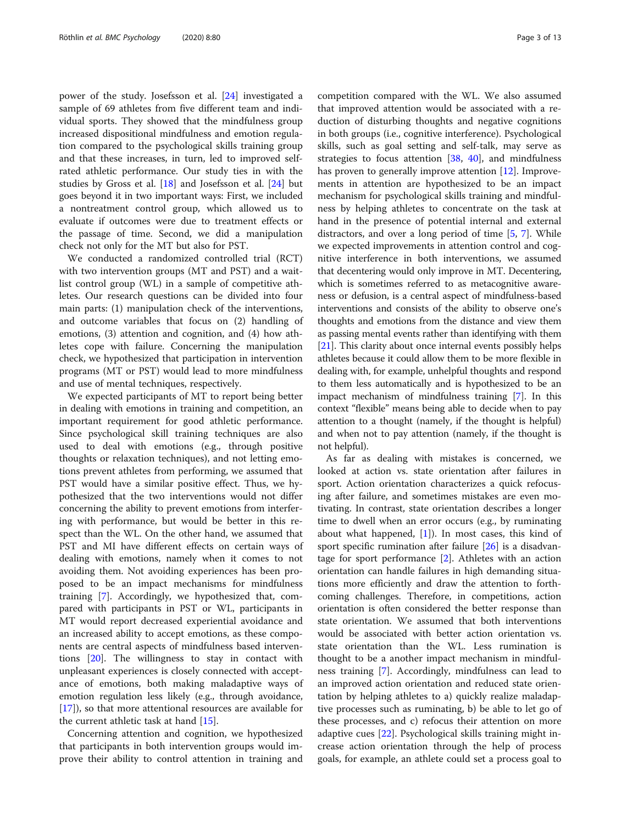power of the study. Josefsson et al. [[24\]](#page-11-0) investigated a sample of 69 athletes from five different team and individual sports. They showed that the mindfulness group increased dispositional mindfulness and emotion regulation compared to the psychological skills training group and that these increases, in turn, led to improved selfrated athletic performance. Our study ties in with the studies by Gross et al. [\[18](#page-11-0)] and Josefsson et al. [\[24](#page-11-0)] but goes beyond it in two important ways: First, we included a nontreatment control group, which allowed us to evaluate if outcomes were due to treatment effects or the passage of time. Second, we did a manipulation check not only for the MT but also for PST.

We conducted a randomized controlled trial (RCT) with two intervention groups (MT and PST) and a waitlist control group (WL) in a sample of competitive athletes. Our research questions can be divided into four main parts: (1) manipulation check of the interventions, and outcome variables that focus on (2) handling of emotions, (3) attention and cognition, and (4) how athletes cope with failure. Concerning the manipulation check, we hypothesized that participation in intervention programs (MT or PST) would lead to more mindfulness and use of mental techniques, respectively.

We expected participants of MT to report being better in dealing with emotions in training and competition, an important requirement for good athletic performance. Since psychological skill training techniques are also used to deal with emotions (e.g., through positive thoughts or relaxation techniques), and not letting emotions prevent athletes from performing, we assumed that PST would have a similar positive effect. Thus, we hypothesized that the two interventions would not differ concerning the ability to prevent emotions from interfering with performance, but would be better in this respect than the WL. On the other hand, we assumed that PST and MI have different effects on certain ways of dealing with emotions, namely when it comes to not avoiding them. Not avoiding experiences has been proposed to be an impact mechanisms for mindfulness training [\[7](#page-11-0)]. Accordingly, we hypothesized that, compared with participants in PST or WL, participants in MT would report decreased experiential avoidance and an increased ability to accept emotions, as these components are central aspects of mindfulness based interventions [[20\]](#page-11-0). The willingness to stay in contact with unpleasant experiences is closely connected with acceptance of emotions, both making maladaptive ways of emotion regulation less likely (e.g., through avoidance, [[17\]](#page-11-0)), so that more attentional resources are available for the current athletic task at hand [[15](#page-11-0)].

Concerning attention and cognition, we hypothesized that participants in both intervention groups would improve their ability to control attention in training and competition compared with the WL. We also assumed that improved attention would be associated with a reduction of disturbing thoughts and negative cognitions in both groups (i.e., cognitive interference). Psychological skills, such as goal setting and self-talk, may serve as strategies to focus attention [\[38](#page-12-0), [40\]](#page-12-0), and mindfulness has proven to generally improve attention [[12](#page-11-0)]. Improvements in attention are hypothesized to be an impact mechanism for psychological skills training and mindfulness by helping athletes to concentrate on the task at hand in the presence of potential internal and external distractors, and over a long period of time [\[5](#page-11-0), [7\]](#page-11-0). While we expected improvements in attention control and cognitive interference in both interventions, we assumed that decentering would only improve in MT. Decentering, which is sometimes referred to as metacognitive awareness or defusion, is a central aspect of mindfulness-based interventions and consists of the ability to observe one's thoughts and emotions from the distance and view them as passing mental events rather than identifying with them [[21](#page-11-0)]. This clarity about once internal events possibly helps athletes because it could allow them to be more flexible in dealing with, for example, unhelpful thoughts and respond to them less automatically and is hypothesized to be an impact mechanism of mindfulness training [\[7\]](#page-11-0). In this context "flexible" means being able to decide when to pay attention to a thought (namely, if the thought is helpful) and when not to pay attention (namely, if the thought is not helpful).

As far as dealing with mistakes is concerned, we looked at action vs. state orientation after failures in sport. Action orientation characterizes a quick refocusing after failure, and sometimes mistakes are even motivating. In contrast, state orientation describes a longer time to dwell when an error occurs (e.g., by ruminating about what happened,  $[1]$  $[1]$ ). In most cases, this kind of sport specific rumination after failure [[26\]](#page-11-0) is a disadvantage for sport performance [\[2](#page-11-0)]. Athletes with an action orientation can handle failures in high demanding situations more efficiently and draw the attention to forthcoming challenges. Therefore, in competitions, action orientation is often considered the better response than state orientation. We assumed that both interventions would be associated with better action orientation vs. state orientation than the WL. Less rumination is thought to be a another impact mechanism in mindfulness training [\[7\]](#page-11-0). Accordingly, mindfulness can lead to an improved action orientation and reduced state orientation by helping athletes to a) quickly realize maladaptive processes such as ruminating, b) be able to let go of these processes, and c) refocus their attention on more adaptive cues [[22\]](#page-11-0). Psychological skills training might increase action orientation through the help of process goals, for example, an athlete could set a process goal to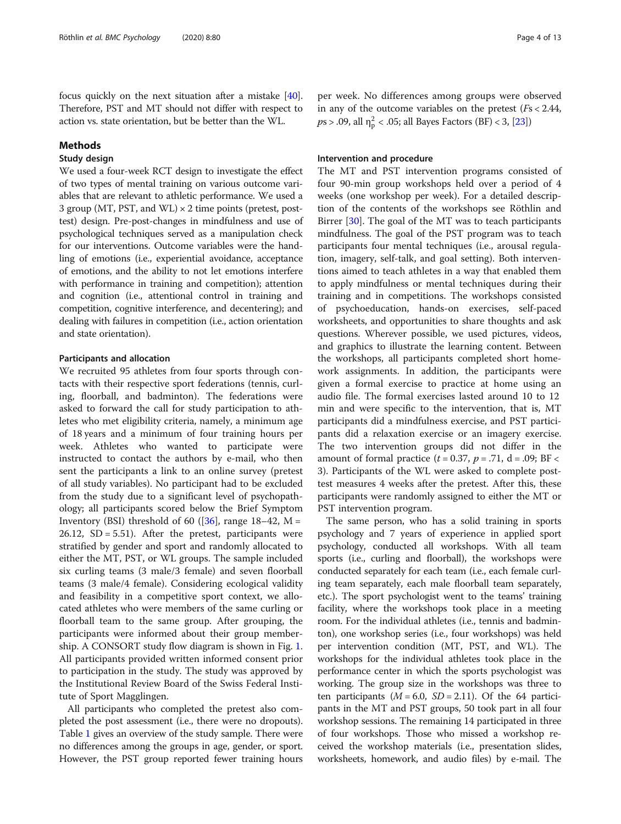focus quickly on the next situation after a mistake [[40](#page-12-0)]. Therefore, PST and MT should not differ with respect to action vs. state orientation, but be better than the WL.

#### Methods

#### Study design

We used a four-week RCT design to investigate the effect of two types of mental training on various outcome variables that are relevant to athletic performance. We used a 3 group (MT, PST, and WL)  $\times$  2 time points (pretest, posttest) design. Pre-post-changes in mindfulness and use of psychological techniques served as a manipulation check for our interventions. Outcome variables were the handling of emotions (i.e., experiential avoidance, acceptance of emotions, and the ability to not let emotions interfere with performance in training and competition); attention and cognition (i.e., attentional control in training and competition, cognitive interference, and decentering); and dealing with failures in competition (i.e., action orientation and state orientation).

#### Participants and allocation

We recruited 95 athletes from four sports through contacts with their respective sport federations (tennis, curling, floorball, and badminton). The federations were asked to forward the call for study participation to athletes who met eligibility criteria, namely, a minimum age of 18 years and a minimum of four training hours per week. Athletes who wanted to participate were instructed to contact the authors by e-mail, who then sent the participants a link to an online survey (pretest of all study variables). No participant had to be excluded from the study due to a significant level of psychopathology; all participants scored below the Brief Symptom Inventory (BSI) threshold of 60 ([ $36$ ], range 18–42, M = 26.12, SD = 5.51). After the pretest, participants were stratified by gender and sport and randomly allocated to either the MT, PST, or WL groups. The sample included six curling teams (3 male/3 female) and seven floorball teams (3 male/4 female). Considering ecological validity and feasibility in a competitive sport context, we allocated athletes who were members of the same curling or floorball team to the same group. After grouping, the participants were informed about their group membership. A CONSORT study flow diagram is shown in Fig. [1](#page-4-0). All participants provided written informed consent prior to participation in the study. The study was approved by the Institutional Review Board of the Swiss Federal Institute of Sport Magglingen.

All participants who completed the pretest also completed the post assessment (i.e., there were no dropouts). Table [1](#page-4-0) gives an overview of the study sample. There were no differences among the groups in age, gender, or sport. However, the PST group reported fewer training hours per week. No differences among groups were observed in any of the outcome variables on the pretest  $(Fs < 2.44)$ ,  $ps > .09$ , all  $\eta_{\rm p}^2 < .05$ ; all Bayes Factors (BF) < 3, [\[23\]](#page-11-0))

#### Intervention and procedure

The MT and PST intervention programs consisted of four 90-min group workshops held over a period of 4 weeks (one workshop per week). For a detailed description of the contents of the workshops see Röthlin and Birrer [[30](#page-11-0)]. The goal of the MT was to teach participants mindfulness. The goal of the PST program was to teach participants four mental techniques (i.e., arousal regulation, imagery, self-talk, and goal setting). Both interventions aimed to teach athletes in a way that enabled them to apply mindfulness or mental techniques during their training and in competitions. The workshops consisted of psychoeducation, hands-on exercises, self-paced worksheets, and opportunities to share thoughts and ask questions. Wherever possible, we used pictures, videos, and graphics to illustrate the learning content. Between the workshops, all participants completed short homework assignments. In addition, the participants were given a formal exercise to practice at home using an audio file. The formal exercises lasted around 10 to 12 min and were specific to the intervention, that is, MT participants did a mindfulness exercise, and PST participants did a relaxation exercise or an imagery exercise. The two intervention groups did not differ in the amount of formal practice  $(t = 0.37, p = .71, d = .09; BF <$ 3). Participants of the WL were asked to complete posttest measures 4 weeks after the pretest. After this, these participants were randomly assigned to either the MT or PST intervention program.

The same person, who has a solid training in sports psychology and 7 years of experience in applied sport psychology, conducted all workshops. With all team sports (i.e., curling and floorball), the workshops were conducted separately for each team (i.e., each female curling team separately, each male floorball team separately, etc.). The sport psychologist went to the teams' training facility, where the workshops took place in a meeting room. For the individual athletes (i.e., tennis and badminton), one workshop series (i.e., four workshops) was held per intervention condition (MT, PST, and WL). The workshops for the individual athletes took place in the performance center in which the sports psychologist was working. The group size in the workshops was three to ten participants ( $M = 6.0$ ,  $SD = 2.11$ ). Of the 64 participants in the MT and PST groups, 50 took part in all four workshop sessions. The remaining 14 participated in three of four workshops. Those who missed a workshop received the workshop materials (i.e., presentation slides, worksheets, homework, and audio files) by e-mail. The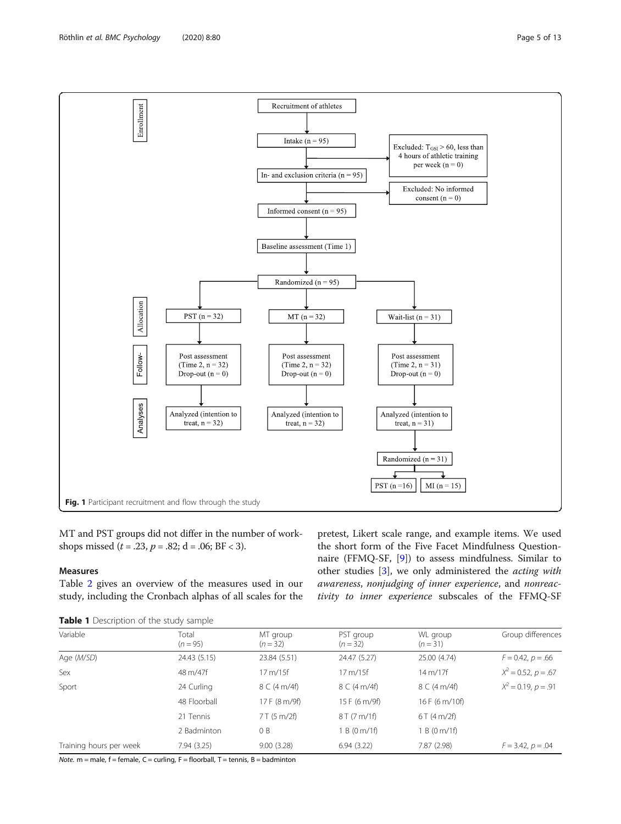<span id="page-4-0"></span>

MT and PST groups did not differ in the number of workshops missed  $(t = .23, p = .82; d = .06; BF < 3)$ .

#### Measures

Table [2](#page-5-0) gives an overview of the measures used in our study, including the Cronbach alphas of all scales for the pretest, Likert scale range, and example items. We used the short form of the Five Facet Mindfulness Questionnaire (FFMQ-SF, [\[9](#page-11-0)]) to assess mindfulness. Similar to other studies [\[3](#page-11-0)], we only administered the acting with awareness, nonjudging of inner experience, and nonreactivity to inner experience subscales of the FFMQ-SF

|  | Table 1 Description of the study sample |  |  |  |
|--|-----------------------------------------|--|--|--|
|--|-----------------------------------------|--|--|--|

| Variable                | Total<br>$(n = 95)$ | MT group<br>$(n=32)$ | PST group<br>$(n = 32)$ | WL group<br>$(n=31)$ | Group differences        |
|-------------------------|---------------------|----------------------|-------------------------|----------------------|--------------------------|
| Age (M/SD)              | 24.43 (5.15)        | 23.84 (5.51)         | 24.47 (5.27)            | 25.00 (4.74)         | $F = 0.42, p = .66$      |
| Sex                     | 48 m/47f            | $17 \text{ m}/15f$   | $17 \text{ m}/15f$      | 14 m/17f             | $X^2 = 0.52$ , $p = .67$ |
| Sport                   | 24 Curling          | 8 C (4 m/4f)         | 8 C (4 m/4f)            | 8 C (4 m/4f)         | $X^2 = 0.19$ , $p = .91$ |
|                         | 48 Floorball        | 17 F (8 m/9f)        | 15 F (6 m/9f)           | 16 F (6 m/10f)       |                          |
|                         | 21 Tennis           | 7 T (5 m/2f)         | 8T(7m/1f)               | 6T(4m/2f)            |                          |
|                         | 2 Badminton         | 0B                   | 1 B (0 m/1f)            | 1 B (0 m/1f)         |                          |
| Training hours per week | 7.94 (3.25)         | 9.00(3.28)           | 6.94(3.22)              | 7.87 (2.98)          | $F = 3.42, p = .04$      |

Note.  $m$  = male,  $f$  = female,  $C$  = curling,  $F$  = floorball,  $T$  = tennis,  $B$  = badminton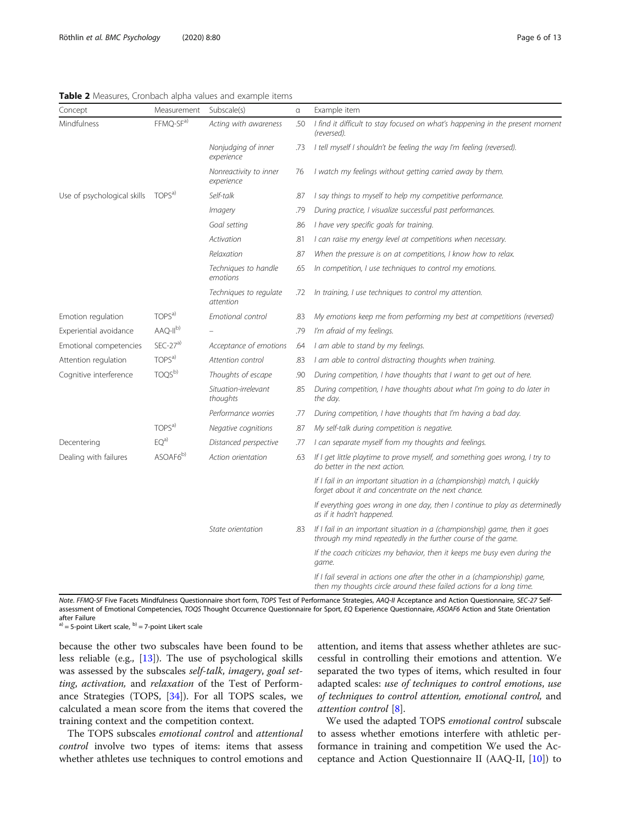#### <span id="page-5-0"></span>Table 2 Measures, Cronbach alpha values and example items

| Concept                     | Measurement           | Subscale(s)                          | $\alpha$ | Example item                                                                                                                                       |
|-----------------------------|-----------------------|--------------------------------------|----------|----------------------------------------------------------------------------------------------------------------------------------------------------|
| Mindfulness                 | FFMQ-SF <sup>a)</sup> | Acting with awareness                | .50      | I find it difficult to stay focused on what's happening in the present moment<br>(reversed).                                                       |
|                             |                       | Nonjudging of inner<br>experience    | .73      | I tell myself I shouldn't be feeling the way I'm feeling (reversed).                                                                               |
|                             |                       | Nonreactivity to inner<br>experience | 76       | I watch my feelings without getting carried away by them.                                                                                          |
| Use of psychological skills | TOPS <sup>a)</sup>    | Self-talk                            | .87      | I say things to myself to help my competitive performance.                                                                                         |
|                             |                       | <i>Imagery</i>                       | .79      | During practice, I visualize successful past performances.                                                                                         |
|                             |                       | Goal setting                         | .86      | I have very specific goals for training.                                                                                                           |
|                             |                       | Activation                           | .81      | I can raise my energy level at competitions when necessary.                                                                                        |
|                             |                       | Relaxation                           | .87      | When the pressure is on at competitions, I know how to relax.                                                                                      |
|                             |                       | Techniques to handle<br>emotions     | .65      | In competition, I use techniques to control my emotions.                                                                                           |
|                             |                       | Techniques to regulate<br>attention  | .72      | In training, I use techniques to control my attention.                                                                                             |
| Emotion regulation          | TOPS <sup>a)</sup>    | Emotional control                    | .83      | My emotions keep me from performing my best at competitions (reversed)                                                                             |
| Experiential avoidance      | AAQ-II <sup>b)</sup>  |                                      | .79      | I'm afraid of my feelings.                                                                                                                         |
| Emotional competencies      | $SEC-27a$             | Acceptance of emotions               | .64      | I am able to stand by my feelings.                                                                                                                 |
| Attention regulation        | TOPS <sup>a)</sup>    | Attention control                    | .83      | I am able to control distracting thoughts when training.                                                                                           |
| Cognitive interference      | TOQS <sup>b)</sup>    | Thoughts of escape                   | .90      | During competition, I have thoughts that I want to get out of here.                                                                                |
|                             |                       | Situation-irrelevant<br>thoughts     | .85      | During competition, I have thoughts about what I'm going to do later in<br>the day.                                                                |
|                             |                       | Performance worries                  | .77      | During competition, I have thoughts that I'm having a bad day.                                                                                     |
|                             | TOPS <sup>a)</sup>    | Negative cognitions                  | .87      | My self-talk during competition is negative.                                                                                                       |
| Decentering                 | EQ <sup>a</sup>       | Distanced perspective                | .77      | I can separate myself from my thoughts and feelings.                                                                                               |
| Dealing with failures       | ASOAF <sub>6</sub> b) | Action orientation                   | .63      | If I get little playtime to prove myself, and something goes wrong, I try to<br>do better in the next action.                                      |
|                             |                       |                                      |          | If I fail in an important situation in a (championship) match, I quickly<br>forget about it and concentrate on the next chance.                    |
|                             |                       |                                      |          | If everything goes wrong in one day, then I continue to play as determinedly<br>as if it hadn't happened.                                          |
|                             |                       | State orientation                    | .83      | If I fail in an important situation in a (championship) game, then it goes<br>through my mind repeatedly in the further course of the game.        |
|                             |                       |                                      |          | If the coach criticizes my behavior, then it keeps me busy even during the<br>game.                                                                |
|                             |                       |                                      |          | If I fail several in actions one after the other in a (championship) game,<br>then my thoughts circle around these failed actions for a long time. |

Note. FFMQ-SF Five Facets Mindfulness Questionnaire short form, TOPS Test of Performance Strategies, AAQ-II Acceptance and Action Questionnaire, SEC-27 Selfassessment of Emotional Competencies, TOQS Thought Occurrence Questionnaire for Sport, EQ Experience Questionnaire, ASOAF6 Action and State Orientation after Failure

 $a$ ) = 5-point Likert scale,  $b$ ) = 7-point Likert scale

because the other two subscales have been found to be less reliable (e.g., [[13](#page-11-0)]). The use of psychological skills was assessed by the subscales self-talk, imagery, goal setting, activation, and relaxation of the Test of Performance Strategies (TOPS, [[34](#page-11-0)]). For all TOPS scales, we calculated a mean score from the items that covered the training context and the competition context.

The TOPS subscales emotional control and attentional control involve two types of items: items that assess whether athletes use techniques to control emotions and attention, and items that assess whether athletes are successful in controlling their emotions and attention. We separated the two types of items, which resulted in four adapted scales: use of techniques to control emotions, use of techniques to control attention, emotional control, and attention control [[8\]](#page-11-0).

We used the adapted TOPS emotional control subscale to assess whether emotions interfere with athletic performance in training and competition We used the Acceptance and Action Questionnaire II  $(AAQ-II, [10])$  $(AAQ-II, [10])$  $(AAQ-II, [10])$  to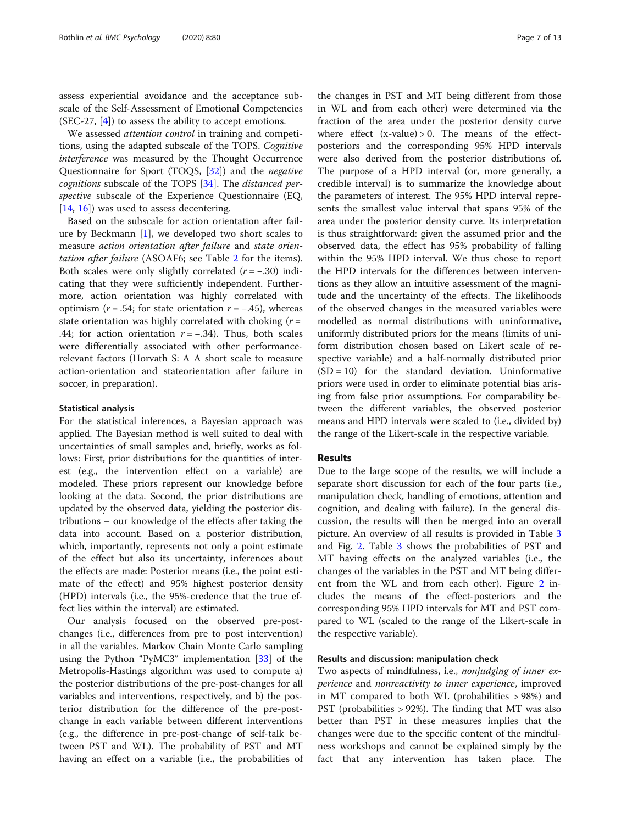assess experiential avoidance and the acceptance subscale of the Self-Assessment of Emotional Competencies (SEC-27, [[4\]](#page-11-0)) to assess the ability to accept emotions.

We assessed attention control in training and competitions, using the adapted subscale of the TOPS. Cognitive interference was measured by the Thought Occurrence Questionnaire for Sport (TOQS, [[32\]](#page-11-0)) and the negative cognitions subscale of the TOPS [[34\]](#page-11-0). The *distanced per*spective subscale of the Experience Questionnaire (EQ, [[14,](#page-11-0) [16\]](#page-11-0)) was used to assess decentering.

Based on the subscale for action orientation after failure by Beckmann [\[1](#page-11-0)], we developed two short scales to measure action orientation after failure and state orientation after failure (ASOAF6; see Table [2](#page-5-0) for the items). Both scales were only slightly correlated  $(r = -.30)$  indicating that they were sufficiently independent. Furthermore, action orientation was highly correlated with optimism ( $r = .54$ ; for state orientation  $r = -.45$ ), whereas state orientation was highly correlated with choking  $(r =$ .44; for action orientation  $r = -.34$ ). Thus, both scales were differentially associated with other performancerelevant factors (Horvath S: A A short scale to measure action-orientation and stateorientation after failure in soccer, in preparation).

#### Statistical analysis

For the statistical inferences, a Bayesian approach was applied. The Bayesian method is well suited to deal with uncertainties of small samples and, briefly, works as follows: First, prior distributions for the quantities of interest (e.g., the intervention effect on a variable) are modeled. These priors represent our knowledge before looking at the data. Second, the prior distributions are updated by the observed data, yielding the posterior distributions – our knowledge of the effects after taking the data into account. Based on a posterior distribution, which, importantly, represents not only a point estimate of the effect but also its uncertainty, inferences about the effects are made: Posterior means (i.e., the point estimate of the effect) and 95% highest posterior density (HPD) intervals (i.e., the 95%-credence that the true effect lies within the interval) are estimated.

Our analysis focused on the observed pre-postchanges (i.e., differences from pre to post intervention) in all the variables. Markov Chain Monte Carlo sampling using the Python "PyMC3" implementation [[33\]](#page-11-0) of the Metropolis-Hastings algorithm was used to compute a) the posterior distributions of the pre-post-changes for all variables and interventions, respectively, and b) the posterior distribution for the difference of the pre-postchange in each variable between different interventions (e.g., the difference in pre-post-change of self-talk between PST and WL). The probability of PST and MT having an effect on a variable (i.e., the probabilities of

the changes in PST and MT being different from those in WL and from each other) were determined via the fraction of the area under the posterior density curve where effect  $(x-value) > 0$ . The means of the effectposteriors and the corresponding 95% HPD intervals were also derived from the posterior distributions of. The purpose of a HPD interval (or, more generally, a credible interval) is to summarize the knowledge about the parameters of interest. The 95% HPD interval represents the smallest value interval that spans 95% of the area under the posterior density curve. Its interpretation is thus straightforward: given the assumed prior and the observed data, the effect has 95% probability of falling within the 95% HPD interval. We thus chose to report the HPD intervals for the differences between interventions as they allow an intuitive assessment of the magnitude and the uncertainty of the effects. The likelihoods of the observed changes in the measured variables were modelled as normal distributions with uninformative, uniformly distributed priors for the means (limits of uniform distribution chosen based on Likert scale of respective variable) and a half-normally distributed prior  $(SD = 10)$  for the standard deviation. Uninformative priors were used in order to eliminate potential bias arising from false prior assumptions. For comparability between the different variables, the observed posterior means and HPD intervals were scaled to (i.e., divided by) the range of the Likert-scale in the respective variable.

#### Results

Due to the large scope of the results, we will include a separate short discussion for each of the four parts (i.e., manipulation check, handling of emotions, attention and cognition, and dealing with failure). In the general discussion, the results will then be merged into an overall picture. An overview of all results is provided in Table [3](#page-7-0) and Fig. [2](#page-8-0). Table [3](#page-7-0) shows the probabilities of PST and MT having effects on the analyzed variables (i.e., the changes of the variables in the PST and MT being differ-ent from the WL and from each other). Figure [2](#page-8-0) includes the means of the effect-posteriors and the corresponding 95% HPD intervals for MT and PST compared to WL (scaled to the range of the Likert-scale in the respective variable).

#### Results and discussion: manipulation check

Two aspects of mindfulness, i.e., nonjudging of inner experience and nonreactivity to inner experience, improved in MT compared to both WL (probabilities > 98%) and PST (probabilities > 92%). The finding that MT was also better than PST in these measures implies that the changes were due to the specific content of the mindfulness workshops and cannot be explained simply by the fact that any intervention has taken place. The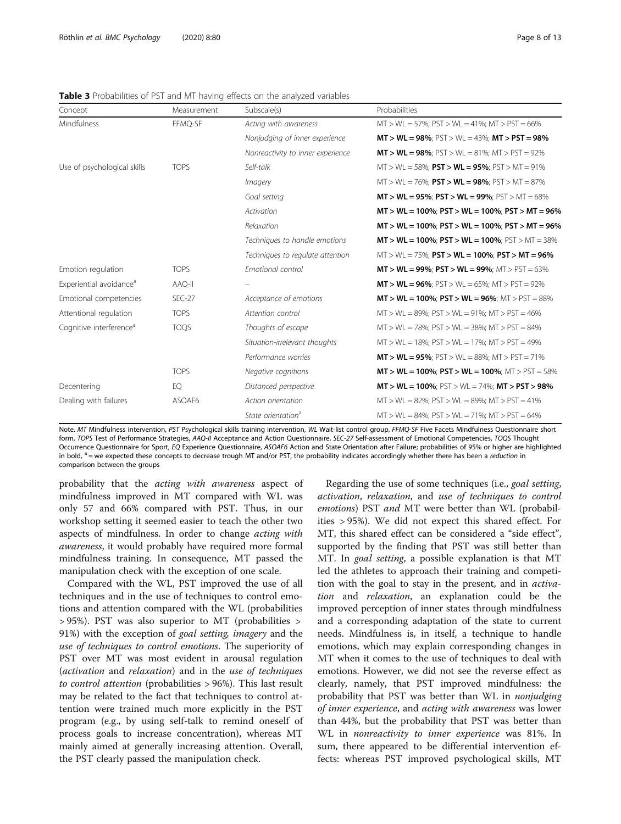| Concept                             | Measurement   | Subscale(s)                       | Probabilities                                                                               |
|-------------------------------------|---------------|-----------------------------------|---------------------------------------------------------------------------------------------|
| Mindfulness                         | FFMO-SF       | Acting with awareness             | $MT > WL = 57\%$ ; $PST > WL = 41\%$ ; $MT > PST = 66\%$                                    |
|                                     |               | Nonjudging of inner experience    | <b>MT &gt; WL = 98%</b> ; $\text{PST} > \text{WL} = 43\%$ ; <b>MT &gt; PST = 98%</b>        |
|                                     |               | Nonreactivity to inner experience | $MT > WL = 98\%$ ; $PST > WL = 81\%$ ; $MT > PST = 92\%$                                    |
| Use of psychological skills         | <b>TOPS</b>   | Self-talk                         | $MT > WL = 58\%$ ; <b>PST &gt; WL = 95%</b> ; PST > MT = 91%                                |
|                                     |               | <i>Imagery</i>                    | $MT > WL = 76\%$ ; <b>PST &gt; WL = 98%</b> ; PST > MT = 87%                                |
|                                     |               | Goal setting                      | <b>MT &gt; WL = 95%; PST &gt; WL = 99%; PST &gt; MT = 68%</b>                               |
|                                     |               | Activation                        | $MT > WL = 100\%$ ; $PST > WL = 100\%$ ; $PST > MT = 96\%$                                  |
|                                     |               | Relaxation                        | $MT > WL = 100\%$ ; $PST > WL = 100\%$ ; $PST > MT = 96\%$                                  |
|                                     |               | Techniques to handle emotions     | $MT > WL = 100\%$ ; $PST > WL = 100\%$ ; $PST > MT = 38\%$                                  |
|                                     |               | Techniques to regulate attention  | $MT > WL = 75\%$ ; $PST > WL = 100\%$ ; $PST > MT = 96\%$                                   |
| Emotion regulation                  | <b>TOPS</b>   | Emotional control                 | <b>MT &gt; WL = 99%; PST &gt; WL = 99%; MT &gt; PST = 63%</b>                               |
| Experiential avoidance <sup>a</sup> | AAQ-II        |                                   | <b>MT &gt; WL = 96%</b> ; $\text{PST} > \text{WL} = 65\%$ ; $\text{MT} > \text{PST} = 92\%$ |
| Emotional competencies              | <b>SEC-27</b> | Acceptance of emotions            | $MT > WL = 100\%$ ; $PST > WL = 96\%$ ; $MT > PST = 88\%$                                   |
| Attentional regulation              | <b>TOPS</b>   | Attention control                 | $MT > WL = 89\%$ ; $PST > WL = 91\%$ ; $MT > PST = 46\%$                                    |
| Cognitive interference <sup>a</sup> | <b>TOQS</b>   | Thoughts of escape                | $MT > WL = 78\%$ ; $PST > WL = 38\%$ ; $MT > PST = 84\%$                                    |
|                                     |               | Situation-irrelevant thoughts     | $MT > WL = 18\%$ ; $PST > WL = 17\%$ ; $MT > PST = 49\%$                                    |
|                                     |               | Performance worries               | <b>MT &gt; WL = 95%</b> ; $\text{PST} > \text{WL} = 88\%$ ; $\text{MT} > \text{PST} = 71\%$ |
|                                     | <b>TOPS</b>   | Negative cognitions               | $MT > WL = 100\%$ ; $PST > WL = 100\%$ ; $MT > PST = 58\%$                                  |
| Decentering                         | EQ            | Distanced perspective             | $MT > WL = 100\%$ ; $PST > WL = 74\%$ ; $MT > PST > 98\%$                                   |
| Dealing with failures               | ASOAF6        | Action orientation                | $MT > WL = 82\%$ ; $PST > WL = 89\%$ ; $MT > PST = 41\%$                                    |
|                                     |               | State orientation <sup>a</sup>    | $MT > WL = 84\%$ ; $PST > WL = 71\%$ ; $MT > PST = 64\%$                                    |

<span id="page-7-0"></span>Table 3 Probabilities of PST and MT having effects on the analyzed variables

Note. MT Mindfulness intervention, PST Psychological skills training intervention, WL Wait-list control group, FFMQ-SF Five Facets Mindfulness Questionnaire short form, TOPS Test of Performance Strategies, AAQ-II Acceptance and Action Questionnaire, SEC-27 Self-assessment of Emotional Competencies, TOQS Thought Occurrence Questionnaire for Sport, EQ Experience Questionnaire, ASOAF6 Action and State Orientation after Failure; probabilities of 95% or higher are highlighted in bold,  $a =$  we expected these concepts to decrease trough MT and/or PST, the probability indicates accordingly whether there has been a reduction in comparison between the groups

probability that the acting with awareness aspect of mindfulness improved in MT compared with WL was only 57 and 66% compared with PST. Thus, in our workshop setting it seemed easier to teach the other two aspects of mindfulness. In order to change acting with awareness, it would probably have required more formal mindfulness training. In consequence, MT passed the manipulation check with the exception of one scale.

Compared with the WL, PST improved the use of all techniques and in the use of techniques to control emotions and attention compared with the WL (probabilities > 95%). PST was also superior to MT (probabilities > 91%) with the exception of goal setting, imagery and the use of techniques to control emotions. The superiority of PST over MT was most evident in arousal regulation (activation and relaxation) and in the use of techniques to control attention (probabilities > 96%). This last result may be related to the fact that techniques to control attention were trained much more explicitly in the PST program (e.g., by using self-talk to remind oneself of process goals to increase concentration), whereas MT mainly aimed at generally increasing attention. Overall, the PST clearly passed the manipulation check.

Regarding the use of some techniques (i.e., goal setting, activation, relaxation, and use of techniques to control emotions) PST and MT were better than WL (probabilities > 95%). We did not expect this shared effect. For MT, this shared effect can be considered a "side effect", supported by the finding that PST was still better than MT. In goal setting, a possible explanation is that MT led the athletes to approach their training and competition with the goal to stay in the present, and in activation and relaxation, an explanation could be the improved perception of inner states through mindfulness and a corresponding adaptation of the state to current needs. Mindfulness is, in itself, a technique to handle emotions, which may explain corresponding changes in MT when it comes to the use of techniques to deal with emotions. However, we did not see the reverse effect as clearly, namely, that PST improved mindfulness: the probability that PST was better than WL in *nonjudging* of inner experience, and acting with awareness was lower than 44%, but the probability that PST was better than WL in nonreactivity to inner experience was 81%. In sum, there appeared to be differential intervention effects: whereas PST improved psychological skills, MT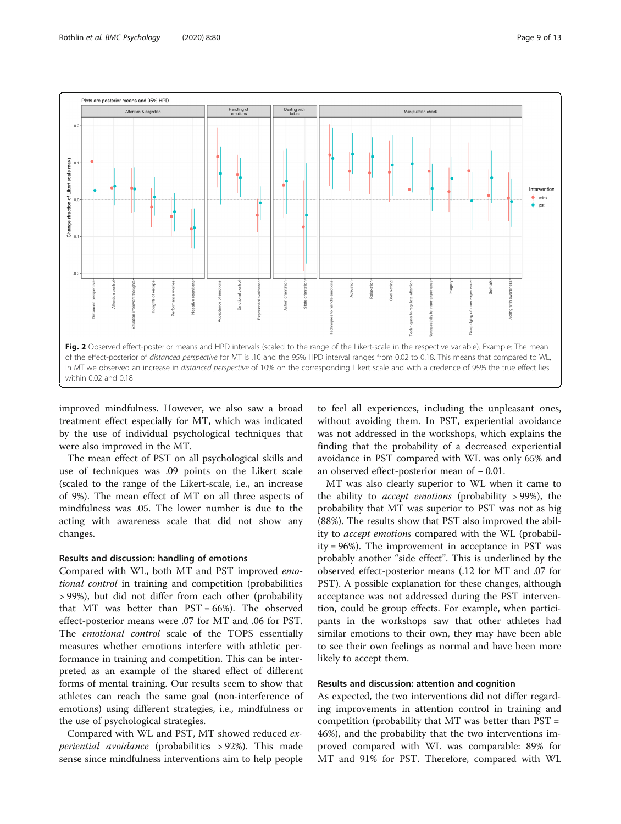<span id="page-8-0"></span>

improved mindfulness. However, we also saw a broad treatment effect especially for MT, which was indicated by the use of individual psychological techniques that were also improved in the MT.

The mean effect of PST on all psychological skills and use of techniques was .09 points on the Likert scale (scaled to the range of the Likert-scale, i.e., an increase of 9%). The mean effect of MT on all three aspects of mindfulness was .05. The lower number is due to the acting with awareness scale that did not show any changes.

#### Results and discussion: handling of emotions

Compared with WL, both MT and PST improved emotional control in training and competition (probabilities > 99%), but did not differ from each other (probability that MT was better than PST = 66%). The observed effect-posterior means were .07 for MT and .06 for PST. The emotional control scale of the TOPS essentially measures whether emotions interfere with athletic performance in training and competition. This can be interpreted as an example of the shared effect of different forms of mental training. Our results seem to show that athletes can reach the same goal (non-interference of emotions) using different strategies, i.e., mindfulness or the use of psychological strategies.

Compared with WL and PST, MT showed reduced experiential avoidance (probabilities > 92%). This made sense since mindfulness interventions aim to help people

to feel all experiences, including the unpleasant ones, without avoiding them. In PST, experiential avoidance was not addressed in the workshops, which explains the finding that the probability of a decreased experiential avoidance in PST compared with WL was only 65% and an observed effect-posterior mean of − 0.01.

MT was also clearly superior to WL when it came to the ability to accept emotions (probability > 99%), the probability that MT was superior to PST was not as big (88%). The results show that PST also improved the ability to accept emotions compared with the WL (probability = 96%). The improvement in acceptance in PST was probably another "side effect". This is underlined by the observed effect-posterior means (.12 for MT and .07 for PST). A possible explanation for these changes, although acceptance was not addressed during the PST intervention, could be group effects. For example, when participants in the workshops saw that other athletes had similar emotions to their own, they may have been able to see their own feelings as normal and have been more likely to accept them.

#### Results and discussion: attention and cognition

As expected, the two interventions did not differ regarding improvements in attention control in training and competition (probability that MT was better than PST = 46%), and the probability that the two interventions improved compared with WL was comparable: 89% for MT and 91% for PST. Therefore, compared with WL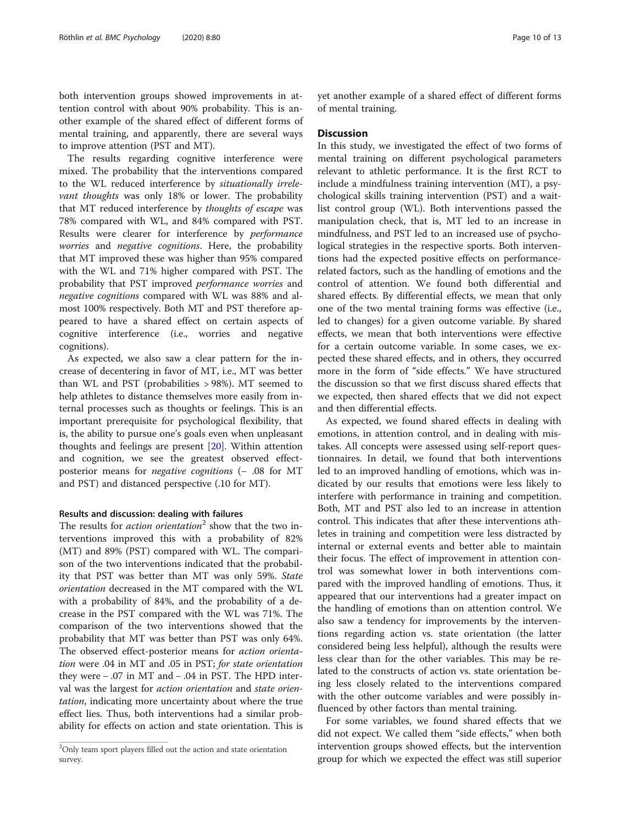both intervention groups showed improvements in attention control with about 90% probability. This is another example of the shared effect of different forms of mental training, and apparently, there are several ways to improve attention (PST and MT).

The results regarding cognitive interference were mixed. The probability that the interventions compared to the WL reduced interference by situationally irrelevant thoughts was only 18% or lower. The probability that MT reduced interference by thoughts of escape was 78% compared with WL, and 84% compared with PST. Results were clearer for interference by performance worries and negative cognitions. Here, the probability that MT improved these was higher than 95% compared with the WL and 71% higher compared with PST. The probability that PST improved performance worries and negative cognitions compared with WL was 88% and almost 100% respectively. Both MT and PST therefore appeared to have a shared effect on certain aspects of cognitive interference (i.e., worries and negative cognitions).

As expected, we also saw a clear pattern for the increase of decentering in favor of MT, i.e., MT was better than WL and PST (probabilities > 98%). MT seemed to help athletes to distance themselves more easily from internal processes such as thoughts or feelings. This is an important prerequisite for psychological flexibility, that is, the ability to pursue one's goals even when unpleasant thoughts and feelings are present [\[20](#page-11-0)]. Within attention and cognition, we see the greatest observed effectposterior means for negative cognitions (− .08 for MT and PST) and distanced perspective (.10 for MT).

#### Results and discussion: dealing with failures

The results for *action orientation*<sup>2</sup> show that the two interventions improved this with a probability of 82% (MT) and 89% (PST) compared with WL. The comparison of the two interventions indicated that the probability that PST was better than MT was only 59%. State orientation decreased in the MT compared with the WL with a probability of 84%, and the probability of a decrease in the PST compared with the WL was 71%. The comparison of the two interventions showed that the probability that MT was better than PST was only 64%. The observed effect-posterior means for action orientation were .04 in MT and .05 in PST; for state orientation they were − .07 in MT and − .04 in PST. The HPD interval was the largest for action orientation and state orientation, indicating more uncertainty about where the true effect lies. Thus, both interventions had a similar probability for effects on action and state orientation. This is yet another example of a shared effect of different forms of mental training.

#### **Discussion**

In this study, we investigated the effect of two forms of mental training on different psychological parameters relevant to athletic performance. It is the first RCT to include a mindfulness training intervention (MT), a psychological skills training intervention (PST) and a waitlist control group (WL). Both interventions passed the manipulation check, that is, MT led to an increase in mindfulness, and PST led to an increased use of psychological strategies in the respective sports. Both interventions had the expected positive effects on performancerelated factors, such as the handling of emotions and the control of attention. We found both differential and shared effects. By differential effects, we mean that only one of the two mental training forms was effective (i.e., led to changes) for a given outcome variable. By shared effects, we mean that both interventions were effective for a certain outcome variable. In some cases, we expected these shared effects, and in others, they occurred more in the form of "side effects." We have structured the discussion so that we first discuss shared effects that we expected, then shared effects that we did not expect and then differential effects.

As expected, we found shared effects in dealing with emotions, in attention control, and in dealing with mistakes. All concepts were assessed using self-report questionnaires. In detail, we found that both interventions led to an improved handling of emotions, which was indicated by our results that emotions were less likely to interfere with performance in training and competition. Both, MT and PST also led to an increase in attention control. This indicates that after these interventions athletes in training and competition were less distracted by internal or external events and better able to maintain their focus. The effect of improvement in attention control was somewhat lower in both interventions compared with the improved handling of emotions. Thus, it appeared that our interventions had a greater impact on the handling of emotions than on attention control. We also saw a tendency for improvements by the interventions regarding action vs. state orientation (the latter considered being less helpful), although the results were less clear than for the other variables. This may be related to the constructs of action vs. state orientation being less closely related to the interventions compared with the other outcome variables and were possibly influenced by other factors than mental training.

For some variables, we found shared effects that we did not expect. We called them "side effects," when both intervention groups showed effects, but the intervention group for which we expected the effect was still superior

 $2$ Only team sport players filled out the action and state orientation survey.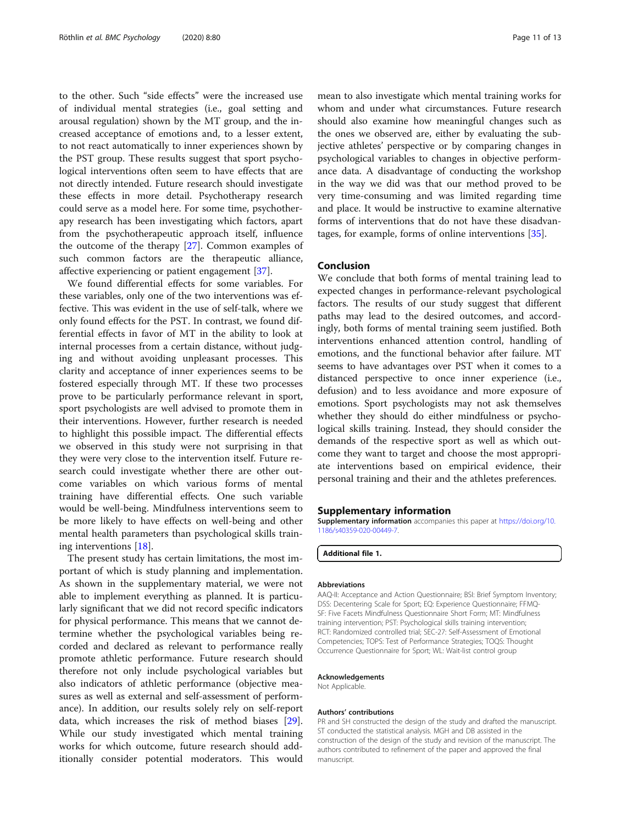to the other. Such "side effects" were the increased use of individual mental strategies (i.e., goal setting and arousal regulation) shown by the MT group, and the increased acceptance of emotions and, to a lesser extent, to not react automatically to inner experiences shown by the PST group. These results suggest that sport psychological interventions often seem to have effects that are not directly intended. Future research should investigate these effects in more detail. Psychotherapy research could serve as a model here. For some time, psychotherapy research has been investigating which factors, apart from the psychotherapeutic approach itself, influence the outcome of the therapy [\[27](#page-11-0)]. Common examples of such common factors are the therapeutic alliance, affective experiencing or patient engagement [\[37](#page-12-0)].

We found differential effects for some variables. For these variables, only one of the two interventions was effective. This was evident in the use of self-talk, where we only found effects for the PST. In contrast, we found differential effects in favor of MT in the ability to look at internal processes from a certain distance, without judging and without avoiding unpleasant processes. This clarity and acceptance of inner experiences seems to be fostered especially through MT. If these two processes prove to be particularly performance relevant in sport, sport psychologists are well advised to promote them in their interventions. However, further research is needed to highlight this possible impact. The differential effects we observed in this study were not surprising in that they were very close to the intervention itself. Future research could investigate whether there are other outcome variables on which various forms of mental training have differential effects. One such variable would be well-being. Mindfulness interventions seem to be more likely to have effects on well-being and other mental health parameters than psychological skills training interventions [\[18\]](#page-11-0).

The present study has certain limitations, the most important of which is study planning and implementation. As shown in the supplementary material, we were not able to implement everything as planned. It is particularly significant that we did not record specific indicators for physical performance. This means that we cannot determine whether the psychological variables being recorded and declared as relevant to performance really promote athletic performance. Future research should therefore not only include psychological variables but also indicators of athletic performance (objective measures as well as external and self-assessment of performance). In addition, our results solely rely on self-report data, which increases the risk of method biases [\[29](#page-11-0)]. While our study investigated which mental training works for which outcome, future research should additionally consider potential moderators. This would

mean to also investigate which mental training works for whom and under what circumstances. Future research should also examine how meaningful changes such as the ones we observed are, either by evaluating the subjective athletes' perspective or by comparing changes in psychological variables to changes in objective performance data. A disadvantage of conducting the workshop in the way we did was that our method proved to be very time-consuming and was limited regarding time and place. It would be instructive to examine alternative forms of interventions that do not have these disadvantages, for example, forms of online interventions [\[35](#page-12-0)].

#### Conclusion

We conclude that both forms of mental training lead to expected changes in performance-relevant psychological factors. The results of our study suggest that different paths may lead to the desired outcomes, and accordingly, both forms of mental training seem justified. Both interventions enhanced attention control, handling of emotions, and the functional behavior after failure. MT seems to have advantages over PST when it comes to a distanced perspective to once inner experience (i.e., defusion) and to less avoidance and more exposure of emotions. Sport psychologists may not ask themselves whether they should do either mindfulness or psychological skills training. Instead, they should consider the demands of the respective sport as well as which outcome they want to target and choose the most appropriate interventions based on empirical evidence, their personal training and their and the athletes preferences.

#### Supplementary information

Supplementary information accompanies this paper at [https://doi.org/10.](https://doi.org/10.1186/s40359-020-00449-7) [1186/s40359-020-00449-7](https://doi.org/10.1186/s40359-020-00449-7).

#### Additional file 1.

#### Abbreviations

AAQ-II: Acceptance and Action Questionnaire; BSI: Brief Symptom Inventory; DSS: Decentering Scale for Sport; EQ: Experience Questionnaire; FFMQ-SF: Five Facets Mindfulness Questionnaire Short Form; MT: Mindfulness training intervention; PST: Psychological skills training intervention; RCT: Randomized controlled trial; SEC-27: Self-Assessment of Emotional Competencies; TOPS: Test of Performance Strategies; TOQS: Thought Occurrence Questionnaire for Sport; WL: Wait-list control group

#### Acknowledgements

Not Applicable.

Authors' contributions PR and SH constructed the design of the study and drafted the manuscript. ST conducted the statistical analysis. MGH and DB assisted in the construction of the design of the study and revision of the manuscript. The authors contributed to refinement of the paper and approved the final manuscript.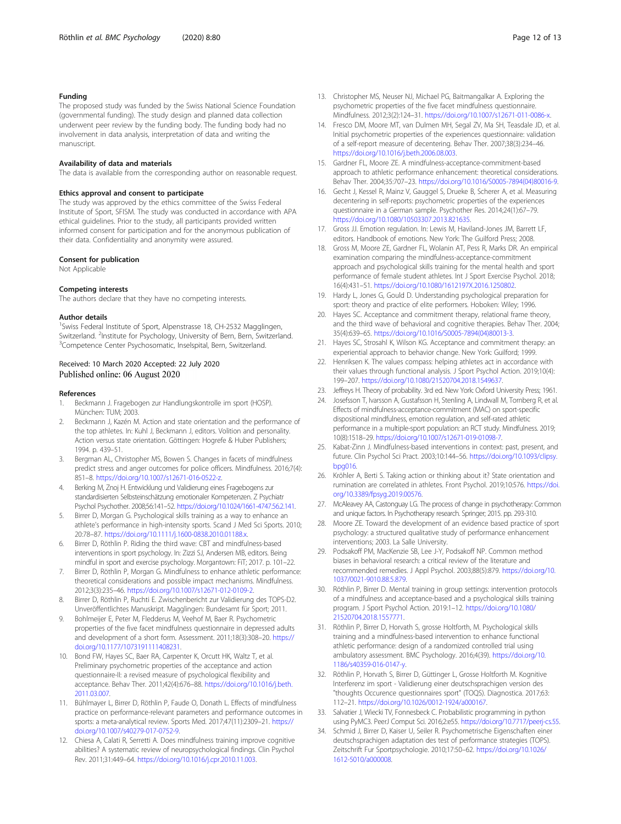#### <span id="page-11-0"></span>Funding

The proposed study was funded by the Swiss National Science Foundation (governmental funding). The study design and planned data collection underwent peer review by the funding body. The funding body had no involvement in data analysis, interpretation of data and writing the manuscript.

#### Availability of data and materials

The data is available from the corresponding author on reasonable request.

#### Ethics approval and consent to participate

The study was approved by the ethics committee of the Swiss Federal Institute of Sport, SFISM. The study was conducted in accordance with APA ethical guidelines. Prior to the study, all participants provided written informed consent for participation and for the anonymous publication of their data. Confidentiality and anonymity were assured.

#### Consent for publication

Not Applicable

#### Competing interests

The authors declare that they have no competing interests.

#### Author details

<sup>1</sup>Swiss Federal Institute of Sport, Alpenstrasse 18, CH-2532 Magglingen, Switzerland. <sup>2</sup>Institute for Psychology, University of Bern, Bern, Switzerland.<br><sup>3</sup>Compatence Conter Baychosomatic, Inselantal Bern, Switzerland. <sup>3</sup>Competence Center Psychosomatic, Inselspital, Bern, Switzerland.

#### Received: 10 March 2020 Accepted: 22 July 2020 Published online: 06 August 2020

#### References

- 1. Beckmann J. Fragebogen zur Handlungskontrolle im sport (HOSP). München: TUM; 2003.
- Beckmann J, Kazén M. Action and state orientation and the performance of the top athletes. In: Kuhl J, Beckmann J, editors. Volition and personality. Action versus state orientation. Göttingen: Hogrefe & Huber Publishers; 1994. p. 439–51.
- 3. Bergman AL, Christopher MS, Bowen S. Changes in facets of mindfulness predict stress and anger outcomes for police officers. Mindfulness. 2016;7(4): 851–8. <https://doi.org/10.1007/s12671-016-0522-z>.
- 4. Berking M, Znoj H. Entwicklung und Validierung eines Fragebogens zur standardisierten Selbsteinschätzung emotionaler Kompetenzen. Z Psychiatr Psychol Psychother. 2008;56:141–52. [https://doi.org/10.1024/1661-4747.56.2.141.](https://doi.org/10.1024/1661-4747.56.2.141)
- Birrer D, Morgan G. Psychological skills training as a way to enhance an athlete's performance in high-intensity sports. Scand J Med Sci Sports. 2010; 20:78–87. [https://doi.org/10.1111/j.1600-0838.2010.01188.x.](https://doi.org/10.1111/j.1600-0838.2010.01188.x)
- 6. Birrer D, Röthlin P. Riding the third wave: CBT and mindfulness-based interventions in sport psychology. In: Zizzi SJ, Andersen MB, editors. Being mindful in sport and exercise psychology. Morgantown: FiT; 2017. p. 101–22.
- 7. Birrer D, Röthlin P, Morgan G. Mindfulness to enhance athletic performance: theoretical considerations and possible impact mechanisms. Mindfulness. 2012;3(3):235–46. [https://doi.org/10.1007/s12671-012-0109-2.](https://doi.org/10.1007/s12671-012-0109-2)
- 8. Birrer D, Röthlin P, Ruchti E. Zwischenbericht zur Validierung des TOPS-D2. Unveröffentlichtes Manuskript. Magglingen: Bundesamt für Sport; 2011.
- 9. Bohlmeijer E, Peter M, Fledderus M, Veehof M, Baer R. Psychometric properties of the five facet mindfulness questionnaire in depressed adults and development of a short form. Assessment. 2011;18(3):308–20. [https://](https://doi.org/10.1177/1073191111408231) [doi.org/10.1177/1073191111408231.](https://doi.org/10.1177/1073191111408231)
- 10. Bond FW, Hayes SC, Baer RA, Carpenter K, Orcutt HK, Waltz T, et al. Preliminary psychometric properties of the acceptance and action questionnaire-II: a revised measure of psychological flexibility and acceptance. Behav Ther. 2011;42(4):676–88. [https://doi.org/10.1016/j.beth.](https://doi.org/10.1016/j.beth.2011.03.007) [2011.03.007.](https://doi.org/10.1016/j.beth.2011.03.007)
- 11. Bühlmayer L, Birrer D, Röthlin P, Faude O, Donath L. Effects of mindfulness practice on performance-relevant parameters and performance outcomes in sports: a meta-analytical review. Sports Med. 2017;47(11):2309–21. [https://](https://doi.org/10.1007/s40279-017-0752-9) [doi.org/10.1007/s40279-017-0752-9](https://doi.org/10.1007/s40279-017-0752-9).
- 12. Chiesa A, Calati R, Serretti A. Does mindfulness training improve cognitive abilities? A systematic review of neuropsychological findings. Clin Psychol Rev. 2011;31:449–64. <https://doi.org/10.1016/j.cpr.2010.11.003>.
- 13. Christopher MS, Neuser NJ, Michael PG, Baitmangalkar A. Exploring the psychometric properties of the five facet mindfulness questionnaire. Mindfulness. 2012;3(2):124–31. [https://doi.org/10.1007/s12671-011-0086-x.](https://doi.org/10.1007/s12671-011-0086-x)
- 14. Fresco DM, Moore MT, van Dulmen MH, Segal ZV, Ma SH, Teasdale JD, et al. Initial psychometric properties of the experiences questionnaire: validation of a self-report measure of decentering. Behav Ther. 2007;38(3):234–46. <https://doi.org/10.1016/j.beth.2006.08.003>.
- 15. Gardner FL, Moore ZE. A mindfulness-acceptance-commitment-based approach to athletic performance enhancement: theoretical considerations. Behav Ther. 2004;35:707–23. [https://doi.org/10.1016/S0005-7894\(04\)80016-9.](https://doi.org/10.1016/S0005-7894(04)80016-9)
- 16. Gecht J, Kessel R, Mainz V, Gauggel S, Drueke B, Scherer A, et al. Measuring decentering in self-reports: psychometric properties of the experiences questionnaire in a German sample. Psychother Res. 2014;24(1):67–79. [https://doi.org/10.1080/10503307.2013.821635.](https://doi.org/10.1080/10503307.2013.821635)
- 17. Gross JJ. Emotion regulation. In: Lewis M, Haviland-Jones JM, Barrett LF, editors. Handbook of emotions. New York: The Guilford Press; 2008.
- 18. Gross M, Moore ZE, Gardner FL, Wolanin AT, Pess R, Marks DR. An empirical examination comparing the mindfulness-acceptance-commitment approach and psychological skills training for the mental health and sport performance of female student athletes. Int J Sport Exercise Psychol. 2018; 16(4):431–51. [https://doi.org/10.1080/1612197X.2016.1250802.](https://doi.org/10.1080/1612197X.2016.1250802)
- 19. Hardy L, Jones G, Gould D. Understanding psychological preparation for sport: theory and practice of elite performers. Hoboken: Wiley; 1996.
- 20. Hayes SC. Acceptance and commitment therapy, relational frame theory, and the third wave of behavioral and cognitive therapies. Behav Ther. 2004; 35(4):639–65. [https://doi.org/10.1016/S0005-7894\(04\)80013-3.](https://doi.org/10.1016/S0005-7894(04)80013-3)
- 21. Hayes SC, Strosahl K, Wilson KG. Acceptance and commitment therapy: an experiential approach to behavior change. New York: Guilford; 1999.
- 22. Henriksen K. The values compass: helping athletes act in accordance with their values through functional analysis. J Sport Psychol Action. 2019;10(4): 199–207. <https://doi.org/10.1080/21520704.2018.1549637>.
- 23. Jeffreys H. Theory of probability. 3rd ed. New York: Oxford University Press; 1961.
- 24. Josefsson T, Ivarsson A, Gustafsson H, Stenling A, Lindwall M, Tornberg R, et al. Effects of mindfulness-acceptance-commitment (MAC) on sport-specific dispositional mindfulness, emotion regulation, and self-rated athletic performance in a multiple-sport population: an RCT study. Mindfulness. 2019; 10(8):1518–29. [https://doi.org/10.1007/s12671-019-01098-7.](https://doi.org/10.1007/s12671-019-01098-7)
- 25. Kabat-Zinn J. Mindfulness-based interventions in context: past, present, and future. Clin Psychol Sci Pract. 2003;10:144–56. [https://doi.org/10.1093/clipsy.](https://doi.org/10.1093/clipsy.bpg016) [bpg016.](https://doi.org/10.1093/clipsy.bpg016)
- 26. Kröhler A, Berti S. Taking action or thinking about it? State orientation and rumination are correlated in athletes. Front Psychol. 2019;10:576. [https://doi.](https://doi.org/10.3389/fpsyg.2019.00576) [org/10.3389/fpsyg.2019.00576](https://doi.org/10.3389/fpsyg.2019.00576).
- 27. McAleavey AA, Castonguay LG. The process of change in psychotherapy: Common and unique factors. In Psychotherapy research. Springer; 2015. pp. 293-310.
- 28. Moore ZE. Toward the development of an evidence based practice of sport psychology: a structured qualitative study of performance enhancement interventions; 2003. La Salle University.
- 29. Podsakoff PM, MacKenzie SB, Lee J-Y, Podsakoff NP. Common method biases in behavioral research: a critical review of the literature and recommended remedies. J Appl Psychol. 2003;88(5):879. [https://doi.org/10.](https://doi.org/10.1037/0021-9010.88.5.879) [1037/0021-9010.88.5.879](https://doi.org/10.1037/0021-9010.88.5.879).
- 30. Röthlin P, Birrer D. Mental training in group settings: intervention protocols of a mindfulness and acceptance-based and a psychological skills training program. J Sport Psychol Action. 2019:1–12. [https://doi.org/10.1080/](https://doi.org/10.1080/21520704.2018.1557771) [21520704.2018.1557771.](https://doi.org/10.1080/21520704.2018.1557771)
- 31. Röthlin P, Birrer D, Horvath S, grosse Holtforth, M. Psychological skills training and a mindfulness-based intervention to enhance functional athletic performance: design of a randomized controlled trial using ambulatory assessment. BMC Psychology. 2016;4(39). [https://doi.org/10.](https://doi.org/10.1186/s40359-016-0147-y) [1186/s40359-016-0147-y.](https://doi.org/10.1186/s40359-016-0147-y)
- 32. Röthlin P, Horvath S, Birrer D, Güttinger L, Grosse Holtforth M. Kognitive Interferenz im sport - Validierung einer deutschsprachigen version des "thoughts Occurence questionnaires sport" (TOQS). Diagnostica. 2017;63: 112–21. <https://doi.org/10.1026/0012-1924/a000167>.
- 33. Salvatier J, Wiecki TV, Fonnesbeck C. Probabilistic programming in python using PyMC3. PeerJ Comput Sci. 2016;2:e55. <https://doi.org/10.7717/peerj-cs.55>.
- 34. Schmid J, Birrer D, Kaiser U, Seiler R. Psychometrische Eigenschaften einer deutschsprachigen adaptation des test of performance strategies (TOPS). Zeitschrift Fur Sportpsychologie. 2010;17:50–62. [https://doi.org/10.1026/](https://doi.org/10.1026/1612-5010/a000008) [1612-5010/a000008](https://doi.org/10.1026/1612-5010/a000008).